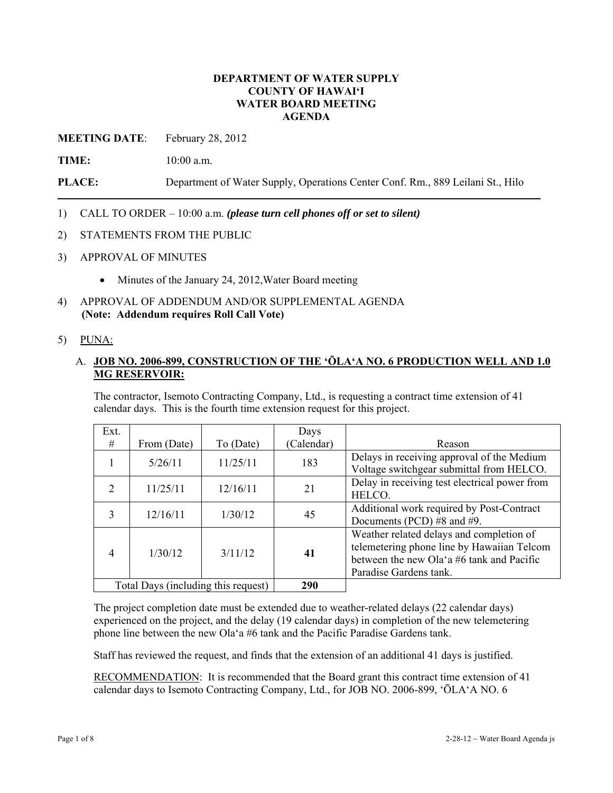### **DEPARTMENT OF WATER SUPPLY COUNTY OF HAWAI'I WATER BOARD MEETING AGENDA**

**MEETING DATE**: February 28, 2012

**TIME:** 10:00 a.m.

**PLACE:** Department of Water Supply, Operations Center Conf. Rm., 889 Leilani St., Hilo

- 1) CALL TO ORDER 10:00 a.m. *(please turn cell phones off or set to silent)*
- 2) STATEMENTS FROM THE PUBLIC
- 3) APPROVAL OF MINUTES
	- Minutes of the January 24, 2012, Water Board meeting
- 4) APPROVAL OF ADDENDUM AND/OR SUPPLEMENTAL AGENDA **(Note: Addendum requires Roll Call Vote)**
- 5) PUNA:

## A. **JOB NO. 2006-899, CONSTRUCTION OF THE 'ŌLA'A NO. 6 PRODUCTION WELL AND 1.0 MG RESERVOIR:**

The contractor, Isemoto Contracting Company, Ltd., is requesting a contract time extension of 41 calendar days. This is the fourth time extension request for this project.

| Ext.                                |             |           | Days       |                                                                                                                                                               |
|-------------------------------------|-------------|-----------|------------|---------------------------------------------------------------------------------------------------------------------------------------------------------------|
| #                                   | From (Date) | To (Date) | (Calendar) | Reason                                                                                                                                                        |
|                                     | 5/26/11     | 11/25/11  | 183        | Delays in receiving approval of the Medium<br>Voltage switchgear submittal from HELCO.                                                                        |
|                                     | 11/25/11    | 12/16/11  | 21         | Delay in receiving test electrical power from<br>HELCO.                                                                                                       |
| 3                                   | 12/16/11    | 1/30/12   | 45         | Additional work required by Post-Contract<br>Documents (PCD) #8 and #9.                                                                                       |
| $\overline{4}$                      | 1/30/12     | 3/11/12   | 41         | Weather related delays and completion of<br>telemetering phone line by Hawaiian Telcom<br>between the new Ola'a #6 tank and Pacific<br>Paradise Gardens tank. |
| Total Days (including this request) |             | 290       |            |                                                                                                                                                               |

The project completion date must be extended due to weather-related delays (22 calendar days) experienced on the project, and the delay (19 calendar days) in completion of the new telemetering phone line between the new Ola'a #6 tank and the Pacific Paradise Gardens tank.

Staff has reviewed the request, and finds that the extension of an additional 41 days is justified.

RECOMMENDATION: It is recommended that the Board grant this contract time extension of 41 calendar days to Isemoto Contracting Company, Ltd., for JOB NO. 2006-899, 'ŌLA'A NO. 6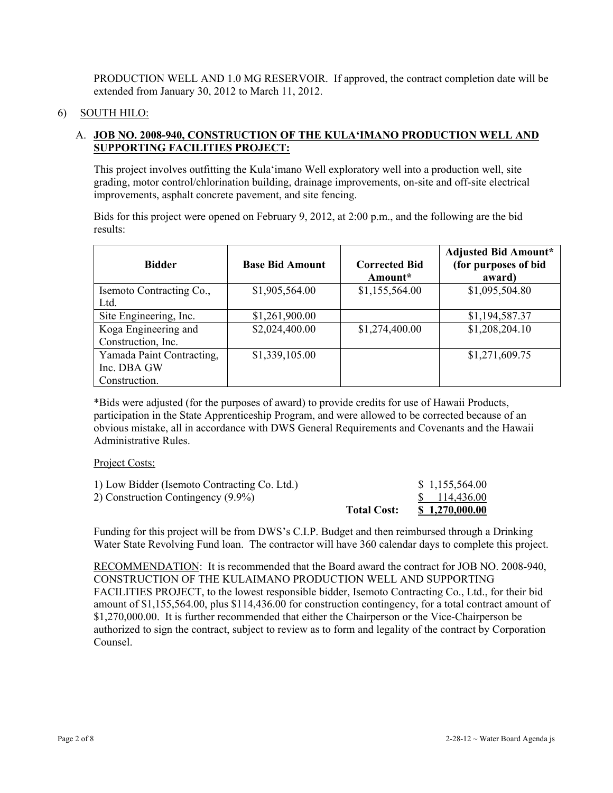PRODUCTION WELL AND 1.0 MG RESERVOIR. If approved, the contract completion date will be extended from January 30, 2012 to March 11, 2012.

#### 6) SOUTH HILO:

## A. **JOB NO. 2008-940, CONSTRUCTION OF THE KULA'IMANO PRODUCTION WELL AND SUPPORTING FACILITIES PROJECT:**

This project involves outfitting the Kula'imano Well exploratory well into a production well, site grading, motor control/chlorination building, drainage improvements, on-site and off-site electrical improvements, asphalt concrete pavement, and site fencing.

Bids for this project were opened on February 9, 2012, at 2:00 p.m., and the following are the bid results:

| <b>Bidder</b>                                             | <b>Base Bid Amount</b> | <b>Corrected Bid</b><br>Amount* | <b>Adjusted Bid Amount*</b><br>(for purposes of bid<br>award) |
|-----------------------------------------------------------|------------------------|---------------------------------|---------------------------------------------------------------|
| Isemoto Contracting Co.,<br>Ltd.                          | \$1,905,564.00         | \$1,155,564.00                  | \$1,095,504.80                                                |
| Site Engineering, Inc.                                    | \$1,261,900.00         |                                 | \$1,194,587.37                                                |
| Koga Engineering and<br>Construction, Inc.                | \$2,024,400.00         | \$1,274,400.00                  | \$1,208,204.10                                                |
| Yamada Paint Contracting,<br>Inc. DBA GW<br>Construction. | \$1,339,105.00         |                                 | \$1,271,609.75                                                |

\*Bids were adjusted (for the purposes of award) to provide credits for use of Hawaii Products, participation in the State Apprenticeship Program, and were allowed to be corrected because of an obvious mistake, all in accordance with DWS General Requirements and Covenants and the Hawaii Administrative Rules.

#### Project Costs:

|                                              | <b>Total Cost:</b> | S 1,270,000.00 |
|----------------------------------------------|--------------------|----------------|
| 2) Construction Contingency (9.9%)           |                    | \$114,436.00   |
| 1) Low Bidder (Isemoto Contracting Co. Ltd.) |                    | \$1,155,564.00 |

Funding for this project will be from DWS's C.I.P. Budget and then reimbursed through a Drinking Water State Revolving Fund loan. The contractor will have 360 calendar days to complete this project.

RECOMMENDATION: It is recommended that the Board award the contract for JOB NO. 2008-940, CONSTRUCTION OF THE KULAIMANO PRODUCTION WELL AND SUPPORTING FACILITIES PROJECT, to the lowest responsible bidder, Isemoto Contracting Co., Ltd., for their bid amount of \$1,155,564.00, plus \$114,436.00 for construction contingency, for a total contract amount of \$1,270,000.00. It is further recommended that either the Chairperson or the Vice-Chairperson be authorized to sign the contract, subject to review as to form and legality of the contract by Corporation Counsel.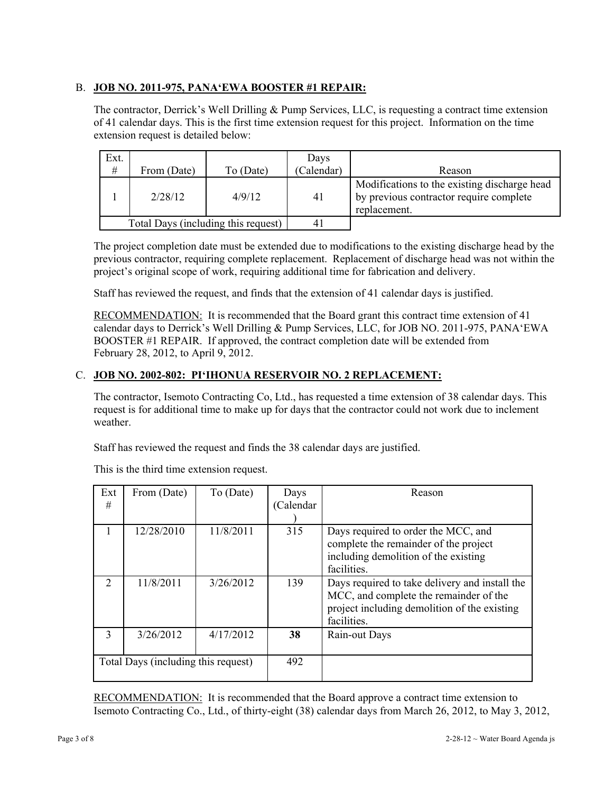# B. **JOB NO. 2011-975, PANA'EWA BOOSTER #1 REPAIR:**

The contractor, Derrick's Well Drilling & Pump Services, LLC, is requesting a contract time extension of 41 calendar days. This is the first time extension request for this project. Information on the time extension request is detailed below:

| Ext.<br>#                           | From (Date) | To (Date) | Days<br>(Calendar) | Reason                                                                                                  |
|-------------------------------------|-------------|-----------|--------------------|---------------------------------------------------------------------------------------------------------|
|                                     | 2/28/12     | 4/9/12    | 41                 | Modifications to the existing discharge head<br>by previous contractor require complete<br>replacement. |
| Total Days (including this request) |             |           |                    |                                                                                                         |

The project completion date must be extended due to modifications to the existing discharge head by the previous contractor, requiring complete replacement. Replacement of discharge head was not within the project's original scope of work, requiring additional time for fabrication and delivery.

Staff has reviewed the request, and finds that the extension of 41 calendar days is justified.

RECOMMENDATION: It is recommended that the Board grant this contract time extension of 41 calendar days to Derrick's Well Drilling & Pump Services, LLC, for JOB NO. 2011-975, PANA'EWA BOOSTER #1 REPAIR. If approved, the contract completion date will be extended from February 28, 2012, to April 9, 2012.

# C. **JOB NO. 2002-802: PI'IHONUA RESERVOIR NO. 2 REPLACEMENT:**

The contractor, Isemoto Contracting Co, Ltd., has requested a time extension of 38 calendar days. This request is for additional time to make up for days that the contractor could not work due to inclement weather.

Staff has reviewed the request and finds the 38 calendar days are justified.

| Ext                                 | From (Date) | To (Date) | Days      | Reason                                                                                                                                                  |
|-------------------------------------|-------------|-----------|-----------|---------------------------------------------------------------------------------------------------------------------------------------------------------|
| #                                   |             |           | (Calendar |                                                                                                                                                         |
|                                     |             |           |           |                                                                                                                                                         |
|                                     | 12/28/2010  | 11/8/2011 | 315       | Days required to order the MCC, and<br>complete the remainder of the project                                                                            |
|                                     |             |           |           | including demolition of the existing                                                                                                                    |
|                                     |             |           |           | facilities.                                                                                                                                             |
|                                     |             |           |           |                                                                                                                                                         |
| $\mathcal{D}_{\mathcal{L}}$         | 11/8/2011   | 3/26/2012 | 139       | Days required to take delivery and install the<br>MCC, and complete the remainder of the<br>project including demolition of the existing<br>facilities. |
| 3                                   | 3/26/2012   | 4/17/2012 | 38        | Rain-out Days                                                                                                                                           |
| Total Days (including this request) |             | 492       |           |                                                                                                                                                         |

This is the third time extension request.

RECOMMENDATION: It is recommended that the Board approve a contract time extension to Isemoto Contracting Co., Ltd., of thirty-eight (38) calendar days from March 26, 2012, to May 3, 2012,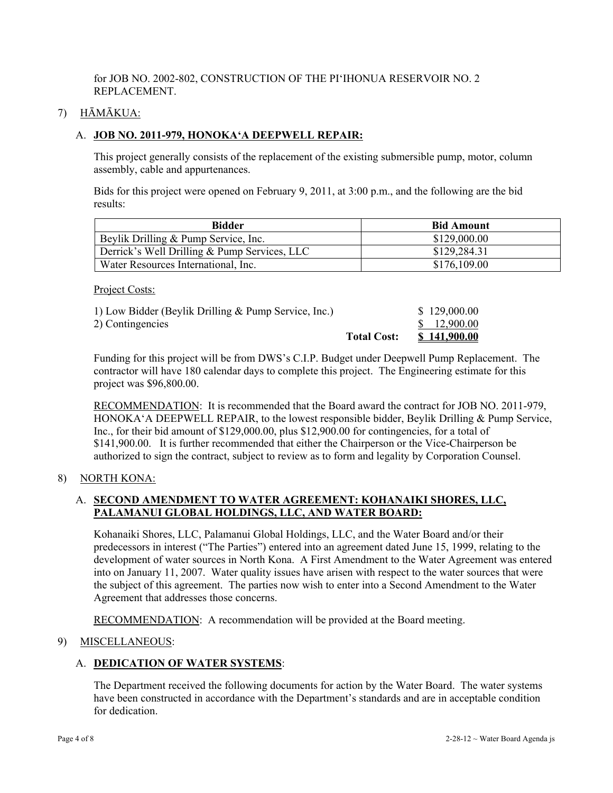for JOB NO. 2002-802, CONSTRUCTION OF THE PI'IHONUA RESERVOIR NO. 2 **REPLACEMENT** 

### 7) HĀMĀKUA:

### A. **JOB NO. 2011-979, HONOKA'A DEEPWELL REPAIR:**

This project generally consists of the replacement of the existing submersible pump, motor, column assembly, cable and appurtenances.

Bids for this project were opened on February 9, 2011, at 3:00 p.m., and the following are the bid results:

| <b>Bidder</b>                                | <b>Bid Amount</b> |
|----------------------------------------------|-------------------|
| Beylik Drilling & Pump Service, Inc.         | \$129,000.00      |
| Derrick's Well Drilling & Pump Services, LLC | \$129,284.31      |
| Water Resources International, Inc.          | \$176,109.00      |

Project Costs:

| 1) Low Bidder (Beylik Drilling & Pump Service, Inc.) |                    | \$129,000.00 |
|------------------------------------------------------|--------------------|--------------|
| 2) Contingencies                                     |                    | \$12,900.00  |
|                                                      | <b>Total Cost:</b> | \$141,900.00 |

Funding for this project will be from DWS's C.I.P. Budget under Deepwell Pump Replacement. The contractor will have 180 calendar days to complete this project. The Engineering estimate for this project was \$96,800.00.

RECOMMENDATION: It is recommended that the Board award the contract for JOB NO. 2011-979, HONOKA'A DEEPWELL REPAIR, to the lowest responsible bidder, Beylik Drilling & Pump Service, Inc., for their bid amount of \$129,000.00, plus \$12,900.00 for contingencies, for a total of \$141,900.00. It is further recommended that either the Chairperson or the Vice-Chairperson be authorized to sign the contract, subject to review as to form and legality by Corporation Counsel.

#### 8) NORTH KONA:

## A. **SECOND AMENDMENT TO WATER AGREEMENT: KOHANAIKI SHORES, LLC, PALAMANUI GLOBAL HOLDINGS, LLC, AND WATER BOARD:**

Kohanaiki Shores, LLC, Palamanui Global Holdings, LLC, and the Water Board and/or their predecessors in interest ("The Parties") entered into an agreement dated June 15, 1999, relating to the development of water sources in North Kona. A First Amendment to the Water Agreement was entered into on January 11, 2007. Water quality issues have arisen with respect to the water sources that were the subject of this agreement. The parties now wish to enter into a Second Amendment to the Water Agreement that addresses those concerns.

RECOMMENDATION: A recommendation will be provided at the Board meeting.

### 9) MISCELLANEOUS:

### A. **DEDICATION OF WATER SYSTEMS**:

The Department received the following documents for action by the Water Board. The water systems have been constructed in accordance with the Department's standards and are in acceptable condition for dedication.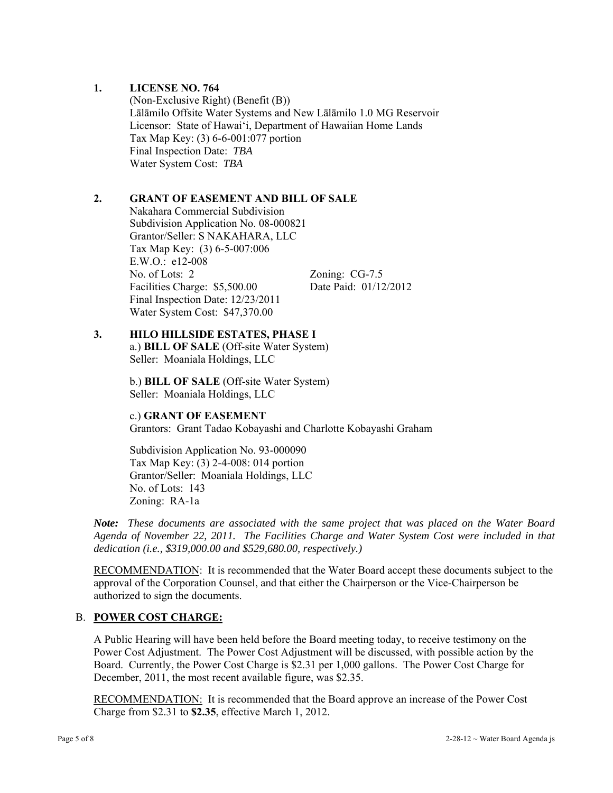## **1. LICENSE NO. 764**

 (Non-Exclusive Right) (Benefit (B)) Lālāmilo Offsite Water Systems and New Lālāmilo 1.0 MG Reservoir Licensor: State of Hawai'i, Department of Hawaiian Home Lands Tax Map Key: (3) 6-6-001:077 portion Final Inspection Date: *TBA* Water System Cost: *TBA*

## **2. GRANT OF EASEMENT AND BILL OF SALE**

 Nakahara Commercial Subdivision Subdivision Application No. 08-000821 Grantor/Seller: S NAKAHARA, LLC Tax Map Key: (3) 6-5-007:006 E.W.O.: e12-008 No. of Lots: 2 Zoning: CG-7.5 Facilities Charge: \$5,500.00 Date Paid: 01/12/2012 Final Inspection Date: 12/23/2011 Water System Cost: \$47,370.00

## **3. HILO HILLSIDE ESTATES, PHASE I**

a.) **BILL OF SALE** (Off-site Water System) Seller: Moaniala Holdings, LLC

 b.) **BILL OF SALE** (Off-site Water System) Seller: Moaniala Holdings, LLC

c.) **GRANT OF EASEMENT**

Grantors: Grant Tadao Kobayashi and Charlotte Kobayashi Graham

 Subdivision Application No. 93-000090 Tax Map Key: (3) 2-4-008: 014 portion Grantor/Seller: Moaniala Holdings, LLC No. of Lots: 143 Zoning: RA-1a

 *Note: These documents are associated with the same project that was placed on the Water Board Agenda of November 22, 2011. The Facilities Charge and Water System Cost were included in that dedication (i.e., \$319,000.00 and \$529,680.00, respectively.)*

RECOMMENDATION: It is recommended that the Water Board accept these documents subject to the approval of the Corporation Counsel, and that either the Chairperson or the Vice-Chairperson be authorized to sign the documents.

# B. **POWER COST CHARGE:**

A Public Hearing will have been held before the Board meeting today, to receive testimony on the Power Cost Adjustment. The Power Cost Adjustment will be discussed, with possible action by the Board. Currently, the Power Cost Charge is \$2.31 per 1,000 gallons. The Power Cost Charge for December, 2011, the most recent available figure, was \$2.35.

RECOMMENDATION: It is recommended that the Board approve an increase of the Power Cost Charge from \$2.31 to **\$2.35**, effective March 1, 2012.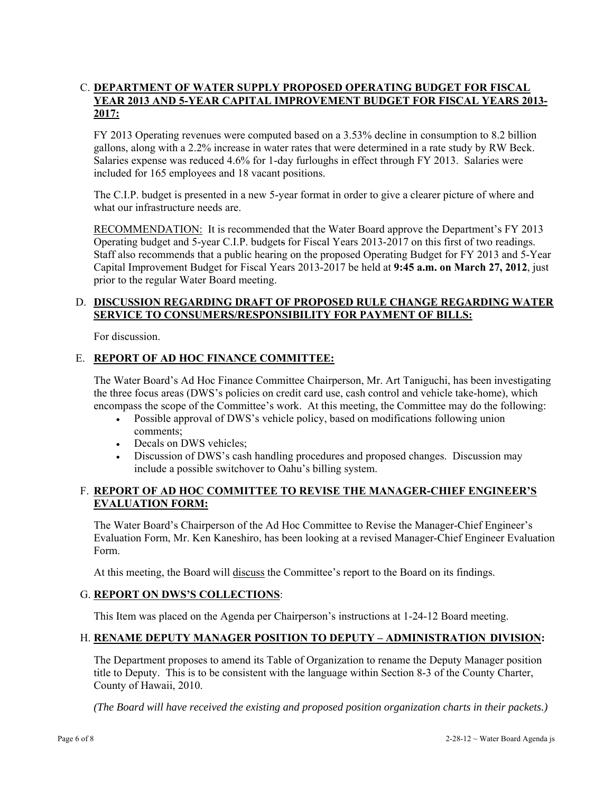## C. **DEPARTMENT OF WATER SUPPLY PROPOSED OPERATING BUDGET FOR FISCAL YEAR 2013 AND 5-YEAR CAPITAL IMPROVEMENT BUDGET FOR FISCAL YEARS 2013- 2017:**

FY 2013 Operating revenues were computed based on a 3.53% decline in consumption to 8.2 billion gallons, along with a 2.2% increase in water rates that were determined in a rate study by RW Beck. Salaries expense was reduced 4.6% for 1-day furloughs in effect through FY 2013. Salaries were included for 165 employees and 18 vacant positions.

The C.I.P. budget is presented in a new 5-year format in order to give a clearer picture of where and what our infrastructure needs are.

RECOMMENDATION: It is recommended that the Water Board approve the Department's FY 2013 Operating budget and 5-year C.I.P. budgets for Fiscal Years 2013-2017 on this first of two readings. Staff also recommends that a public hearing on the proposed Operating Budget for FY 2013 and 5-Year Capital Improvement Budget for Fiscal Years 2013-2017 be held at **9:45 a.m. on March 27, 2012**, just prior to the regular Water Board meeting.

## D. **DISCUSSION REGARDING DRAFT OF PROPOSED RULE CHANGE REGARDING WATER SERVICE TO CONSUMERS/RESPONSIBILITY FOR PAYMENT OF BILLS:**

For discussion.

# E. **REPORT OF AD HOC FINANCE COMMITTEE:**

The Water Board's Ad Hoc Finance Committee Chairperson, Mr. Art Taniguchi, has been investigating the three focus areas (DWS's policies on credit card use, cash control and vehicle take-home), which encompass the scope of the Committee's work. At this meeting, the Committee may do the following:

- Possible approval of DWS's vehicle policy, based on modifications following union comments;
- Decals on DWS vehicles;
- Discussion of DWS's cash handling procedures and proposed changes. Discussion may include a possible switchover to Oahu's billing system.

# F. **REPORT OF AD HOC COMMITTEE TO REVISE THE MANAGER-CHIEF ENGINEER'S EVALUATION FORM:**

The Water Board's Chairperson of the Ad Hoc Committee to Revise the Manager-Chief Engineer's Evaluation Form, Mr. Ken Kaneshiro, has been looking at a revised Manager-Chief Engineer Evaluation Form.

At this meeting, the Board will discuss the Committee's report to the Board on its findings.

# G. **REPORT ON DWS'S COLLECTIONS**:

This Item was placed on the Agenda per Chairperson's instructions at 1-24-12 Board meeting.

# H. **RENAME DEPUTY MANAGER POSITION TO DEPUTY – ADMINISTRATION DIVISION:**

The Department proposes to amend its Table of Organization to rename the Deputy Manager position title to Deputy. This is to be consistent with the language within Section 8-3 of the County Charter, County of Hawaii, 2010.

*(The Board will have received the existing and proposed position organization charts in their packets.)*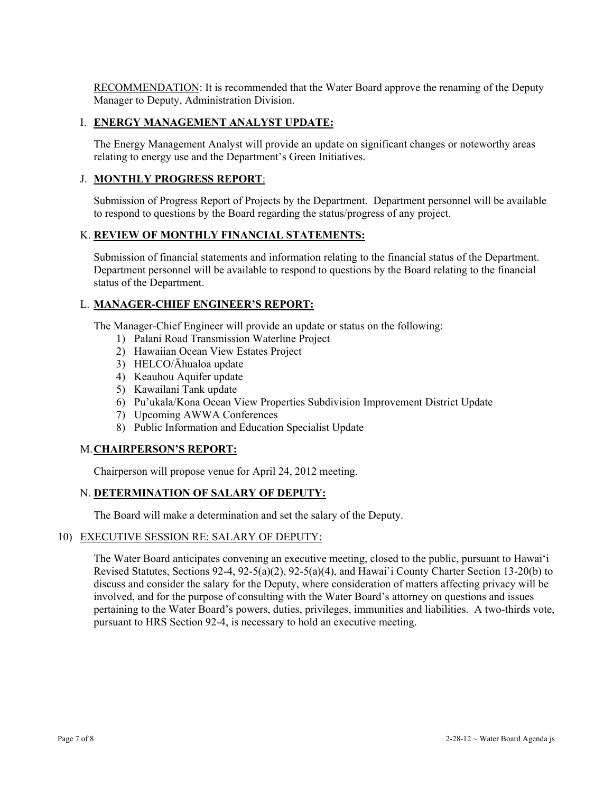RECOMMENDATION: It is recommended that the Water Board approve the renaming of the Deputy Manager to Deputy, Administration Division.

## I. **ENERGY MANAGEMENT ANALYST UPDATE:**

The Energy Management Analyst will provide an update on significant changes or noteworthy areas relating to energy use and the Department's Green Initiatives.

## J. **MONTHLY PROGRESS REPORT**:

Submission of Progress Report of Projects by the Department. Department personnel will be available to respond to questions by the Board regarding the status/progress of any project.

## K. **REVIEW OF MONTHLY FINANCIAL STATEMENTS:**

Submission of financial statements and information relating to the financial status of the Department. Department personnel will be available to respond to questions by the Board relating to the financial status of the Department.

## L. **MANAGER-CHIEF ENGINEER'S REPORT:**

The Manager-Chief Engineer will provide an update or status on the following:

- 1) Palani Road Transmission Waterline Project
- 2) Hawaiian Ocean View Estates Project
- 3) HELCO/Āhualoa update
- 4) Keauhou Aquifer update
- 5) Kawailani Tank update
- 6) Pu'ukala/Kona Ocean View Properties Subdivision Improvement District Update
- 7) Upcoming AWWA Conferences
- 8) Public Information and Education Specialist Update

# M. **CHAIRPERSON'S REPORT:**

Chairperson will propose venue for April 24, 2012 meeting.

# N. **DETERMINATION OF SALARY OF DEPUTY:**

The Board will make a determination and set the salary of the Deputy.

### 10) EXECUTIVE SESSION RE: SALARY OF DEPUTY:

The Water Board anticipates convening an executive meeting, closed to the public, pursuant to Hawai'i Revised Statutes, Sections 92-4, 92-5(a)(2), 92-5(a)(4), and Hawai`i County Charter Section 13-20(b) to discuss and consider the salary for the Deputy, where consideration of matters affecting privacy will be involved, and for the purpose of consulting with the Water Board's attorney on questions and issues pertaining to the Water Board's powers, duties, privileges, immunities and liabilities. A two-thirds vote, pursuant to HRS Section 92-4, is necessary to hold an executive meeting.